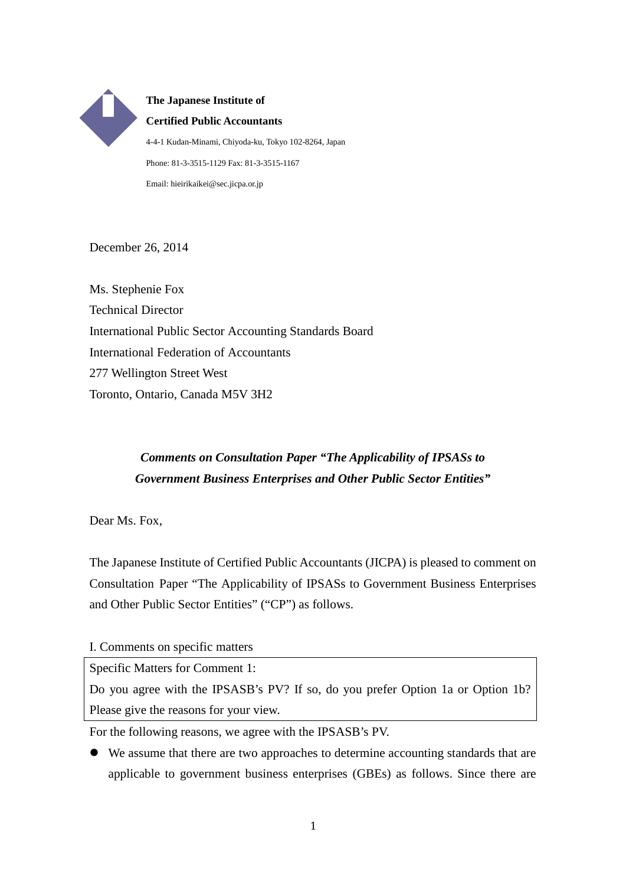**The Japanese Institute of Certified Public Accountants** 4-4-1 Kudan-Minami, Chiyoda-ku, Tokyo 102-8264, Japan Phone: 81-3-3515-1129 Fax: 81-3-3515-1167 Email: hieirikaikei@sec.jicpa.or.jp

December 26, 2014

Ms. Stephenie Fox Technical Director International Public Sector Accounting Standards Board International Federation of Accountants 277 Wellington Street West Toronto, Ontario, Canada M5V 3H2

## *Comments on Consultation Paper "The Applicability of IPSASs to Government Business Enterprises and Other Public Sector Entities"*

Dear Ms. Fox,

The Japanese Institute of Certified Public Accountants (JICPA) is pleased to comment on Consultation Paper "The Applicability of IPSASs to Government Business Enterprises and Other Public Sector Entities" ("CP") as follows.

I. Comments on specific matters

Specific Matters for Comment 1:

Do you agree with the IPSASB's PV? If so, do you prefer Option 1a or Option 1b? Please give the reasons for your view.

For the following reasons, we agree with the IPSASB's PV.

 We assume that there are two approaches to determine accounting standards that are applicable to government business enterprises (GBEs) as follows. Since there are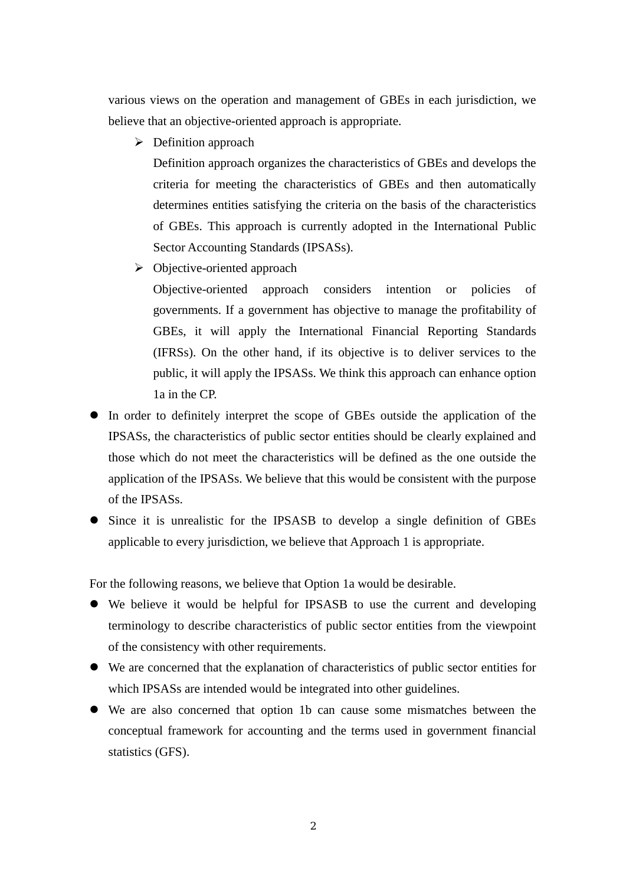various views on the operation and management of GBEs in each jurisdiction, we believe that an objective-oriented approach is appropriate.

 $\triangleright$  Definition approach

Definition approach organizes the characteristics of GBEs and develops the criteria for meeting the characteristics of GBEs and then automatically determines entities satisfying the criteria on the basis of the characteristics of GBEs. This approach is currently adopted in the International Public Sector Accounting Standards (IPSASs).

 $\triangleright$  Objective-oriented approach

Objective-oriented approach considers intention or policies of governments. If a government has objective to manage the profitability of GBEs, it will apply the International Financial Reporting Standards (IFRSs). On the other hand, if its objective is to deliver services to the public, it will apply the IPSASs. We think this approach can enhance option 1a in the CP.

- In order to definitely interpret the scope of GBEs outside the application of the IPSASs, the characteristics of public sector entities should be clearly explained and those which do not meet the characteristics will be defined as the one outside the application of the IPSASs. We believe that this would be consistent with the purpose of the IPSASs.
- Since it is unrealistic for the IPSASB to develop a single definition of GBEs applicable to every jurisdiction, we believe that Approach 1 is appropriate.

For the following reasons, we believe that Option 1a would be desirable.

- We believe it would be helpful for IPSASB to use the current and developing terminology to describe characteristics of public sector entities from the viewpoint of the consistency with other requirements.
- We are concerned that the explanation of characteristics of public sector entities for which IPSASs are intended would be integrated into other guidelines.
- We are also concerned that option 1b can cause some mismatches between the conceptual framework for accounting and the terms used in government financial statistics (GFS).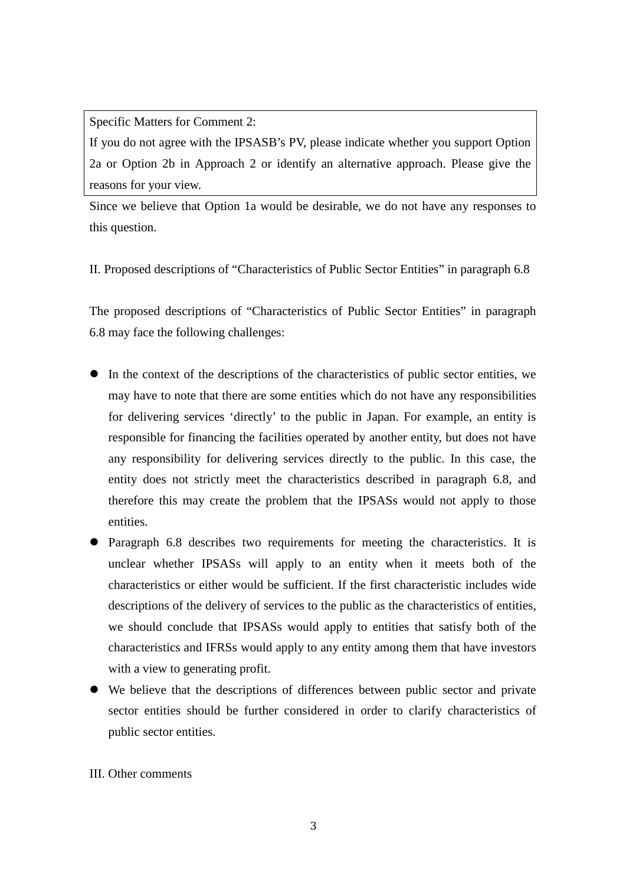Specific Matters for Comment 2:

If you do not agree with the IPSASB's PV, please indicate whether you support Option 2a or Option 2b in Approach 2 or identify an alternative approach. Please give the reasons for your view.

Since we believe that Option 1a would be desirable, we do not have any responses to this question.

II. Proposed descriptions of "Characteristics of Public Sector Entities" in paragraph 6.8

The proposed descriptions of "Characteristics of Public Sector Entities" in paragraph 6.8 may face the following challenges:

- In the context of the descriptions of the characteristics of public sector entities, we may have to note that there are some entities which do not have any responsibilities for delivering services 'directly' to the public in Japan. For example, an entity is responsible for financing the facilities operated by another entity, but does not have any responsibility for delivering services directly to the public. In this case, the entity does not strictly meet the characteristics described in paragraph 6.8, and therefore this may create the problem that the IPSASs would not apply to those entities.
- Paragraph 6.8 describes two requirements for meeting the characteristics. It is unclear whether IPSASs will apply to an entity when it meets both of the characteristics or either would be sufficient. If the first characteristic includes wide descriptions of the delivery of services to the public as the characteristics of entities, we should conclude that IPSASs would apply to entities that satisfy both of the characteristics and IFRSs would apply to any entity among them that have investors with a view to generating profit.
- We believe that the descriptions of differences between public sector and private sector entities should be further considered in order to clarify characteristics of public sector entities.

## III. Other comments